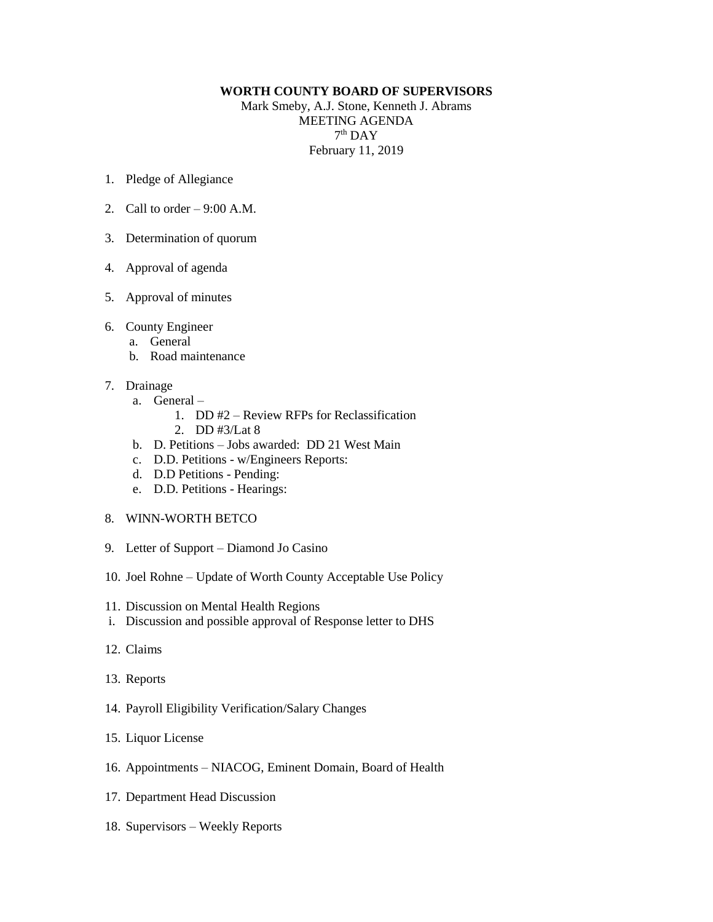## **WORTH COUNTY BOARD OF SUPERVISORS**

Mark Smeby, A.J. Stone, Kenneth J. Abrams MEETING AGENDA  $7<sup>th</sup>$  DAY February 11, 2019

- 1. Pledge of Allegiance
- 2. Call to order  $-9:00$  A.M.
- 3. Determination of quorum
- 4. Approval of agenda
- 5. Approval of minutes
- 6. County Engineer
	- a. General
	- b. Road maintenance
- 7. Drainage
	- a. General
		- 1. DD #2 Review RFPs for Reclassification
			- 2. DD #3/Lat 8
	- b. D. Petitions Jobs awarded: DD 21 West Main
	- c. D.D. Petitions w/Engineers Reports:
	- d. D.D Petitions Pending:
	- e. D.D. Petitions Hearings:
- 8. WINN-WORTH BETCO
- 9. Letter of Support Diamond Jo Casino
- 10. Joel Rohne Update of Worth County Acceptable Use Policy
- 11. Discussion on Mental Health Regions
- i. Discussion and possible approval of Response letter to DHS
- 12. Claims
- 13. Reports
- 14. Payroll Eligibility Verification/Salary Changes
- 15. Liquor License
- 16. Appointments NIACOG, Eminent Domain, Board of Health
- 17. Department Head Discussion
- 18. Supervisors Weekly Reports